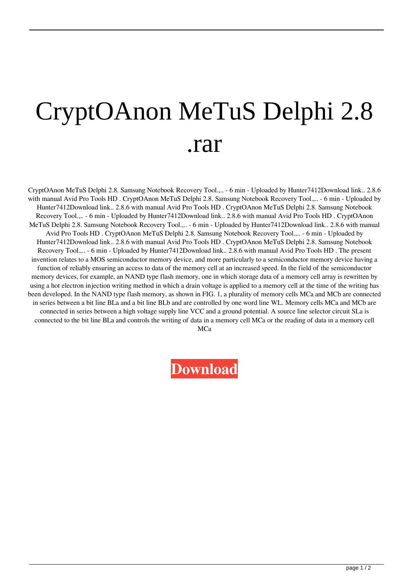## CryptOAnon MeTuS Delphi 2.8 .rar

CryptOAnon MeTuS Delphi 2.8. Samsung Notebook Recovery Tool.,.. - 6 min - Uploaded by Hunter7412Download link.. 2.8.6 with manual Avid Pro Tools HD. CryptOAnon MeTuS Delphi 2.8. Samsung Notebook Recovery Tool.,.. - 6 min - Uploaded by Hunter7412Download link.. 2.8.6 with manual Avid Pro Tools HD . CryptOAnon MeTuS Delphi 2.8. Samsung Notebook Recovery Tool.,.. - 6 min - Uploaded by Hunter7412Download link.. 2.8.6 with manual Avid Pro Tools HD . CryptOAnon MeTuS Delphi 2.8. Samsung Notebook Recovery Tool.,.. - 6 min - Uploaded by Hunter7412Download link.. 2.8.6 with manual Avid Pro Tools HD . CryptOAnon MeTuS Delphi 2.8. Samsung Notebook Recovery Tool.,.. - 6 min - Uploaded by Hunter7412Download link.. 2.8.6 with manual Avid Pro Tools HD . CryptOAnon MeTuS Delphi 2.8. Samsung Notebook Recovery Tool.,.. - 6 min - Uploaded by Hunter7412Download link.. 2.8.6 with manual Avid Pro Tools HD . The present invention relates to a MOS semiconductor memory device, and more particularly to a semiconductor memory device having a function of reliably ensuring an access to data of the memory cell at an increased speed. In the field of the semiconductor memory devices, for example, an NAND type flash memory, one in which storage data of a memory cell array is rewritten by using a hot electron injection writing method in which a drain voltage is applied to a memory cell at the time of the writing has been developed. In the NAND type flash memory, as shown in FIG. 1, a plurality of memory cells MCa and MCb are connected in series between a bit line BLa and a bit line BLb and are controlled by one word line WL. Memory cells MCa and MCb are connected in series between a high voltage supply line VCC and a ground potential. A source line selector circuit SLa is connected to the bit line BLa and controls the writing of data in a memory cell MCa or the reading of data in a memory cell **MCa**